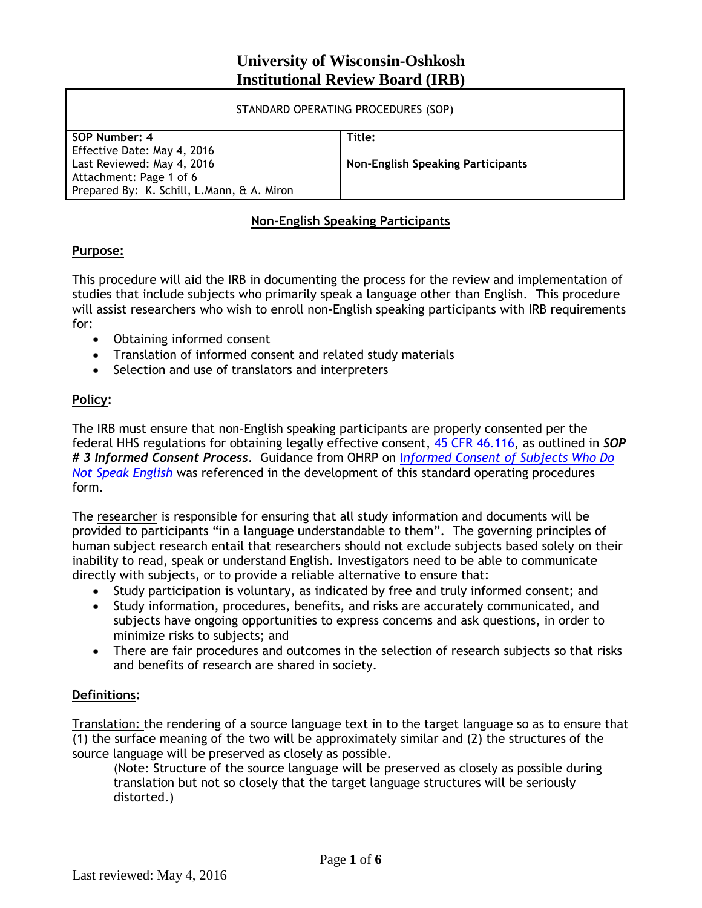# **University of Wisconsin-Oshkosh Institutional Review Board (IRB)**

| STANDARD OPERATING PROCEDURES (SOP)        |                                          |
|--------------------------------------------|------------------------------------------|
| SOP Number: 4                              | Title:                                   |
| Effective Date: May 4, 2016                |                                          |
| Last Reviewed: May 4, 2016                 | <b>Non-English Speaking Participants</b> |
| Attachment: Page 1 of 6                    |                                          |
| Prepared By: K. Schill, L.Mann, & A. Miron |                                          |
|                                            |                                          |

## **Non-English Speaking Participants**

## **Purpose:**

This procedure will aid the IRB in documenting the process for the review and implementation of studies that include subjects who primarily speak a language other than English. This procedure will assist researchers who wish to enroll non-English speaking participants with IRB requirements for:

- Obtaining informed consent
- Translation of informed consent and related study materials
- Selection and use of translators and interpreters

## **Policy:**

The IRB must ensure that non-English speaking participants are properly consented per the federal HHS regulations for obtaining legally effective consent, [45 CFR 46.116,](http://www.hhs.gov/ohrp/humansubjects/guidance/45cfr46.html#46.116) as outlined in *SOP # 3 Informed Consent Process*. Guidance from OHRP on I*[nformed Consent of Subjects Who Do](http://www.hhs.gov/ohrp/policy/ic-non-e.html)  [Not Speak English](http://www.hhs.gov/ohrp/policy/ic-non-e.html)* was referenced in the development of this standard operating procedures form.

The researcher is responsible for ensuring that all study information and documents will be provided to participants "in a language understandable to them". The governing principles of human subject research entail that researchers should not exclude subjects based solely on their inability to read, speak or understand English. Investigators need to be able to communicate directly with subjects, or to provide a reliable alternative to ensure that:

- Study participation is voluntary, as indicated by free and truly informed consent; and
- Study information, procedures, benefits, and risks are accurately communicated, and subjects have ongoing opportunities to express concerns and ask questions, in order to minimize risks to subjects; and
- There are fair procedures and outcomes in the selection of research subjects so that risks and benefits of research are shared in society.

## **Definitions:**

Translation: the rendering of a source language text in to the target language so as to ensure that (1) the surface meaning of the two will be approximately similar and (2) the structures of the source language will be preserved as closely as possible.

(Note: Structure of the source language will be preserved as closely as possible during translation but not so closely that the target language structures will be seriously distorted.)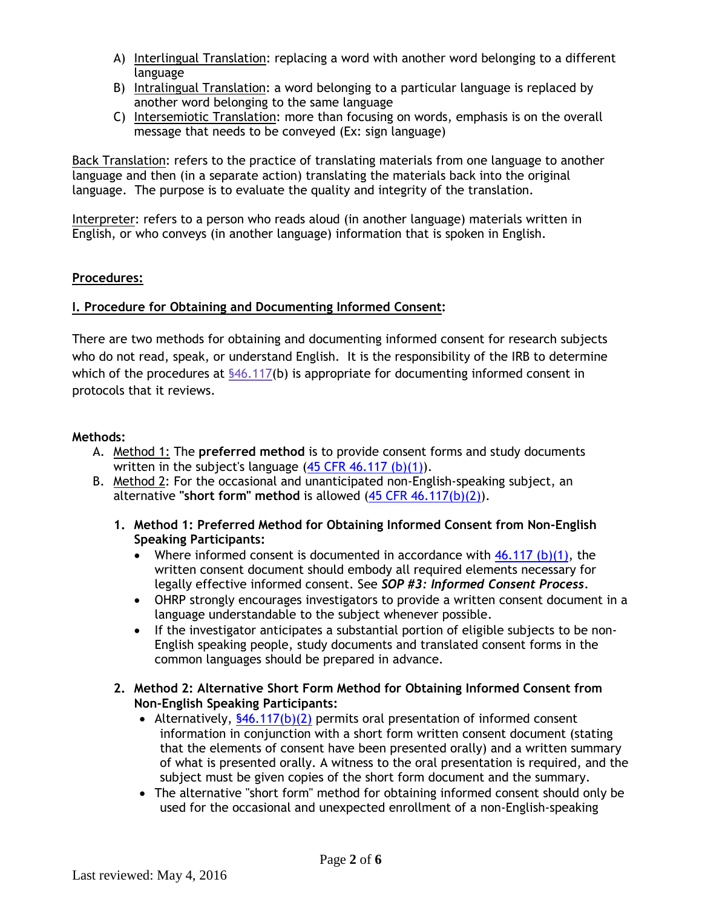- A) Interlingual Translation: replacing a word with another word belonging to a different language
- B) Intralingual Translation: a word belonging to a particular language is replaced by another word belonging to the same language
- C) Intersemiotic Translation: more than focusing on words, emphasis is on the overall message that needs to be conveyed (Ex: sign language)

Back Translation: refers to the practice of translating materials from one language to another language and then (in a separate action) translating the materials back into the original language. The purpose is to evaluate the quality and integrity of the translation.

Interpreter: refers to a person who reads aloud (in another language) materials written in English, or who conveys (in another language) information that is spoken in English.

### **Procedures:**

### **I. Procedure for Obtaining and Documenting Informed Consent:**

There are two methods for obtaining and documenting informed consent for research subjects who do not read, speak, or understand English. It is the responsibility of the IRB to determine which of the procedures at [§46.117\(](http://www.hhs.gov/ohrp/regulations-and-policy/regulations/45-cfr-46/index.html)b) is appropriate for documenting informed consent in protocols that it reviews.

#### **Methods:**

- A. Method 1: The **preferred method** is to provide consent forms and study documents written in the subject's language  $(45$  CFR 46.117 (b)(1)).
- B. Method 2: For the occasional and unanticipated non-English-speaking subject, an alternative **"short form" method** is allowed [\(45 CFR 46.117\(b\)\(2\)\)](http://www.hhs.gov/ohrp/humansubjects/guidance/45cfr46.html#46.117).
	- **1. Method 1: Preferred Method for Obtaining Informed Consent from Non-English Speaking Participants:**
		- Where informed consent is documented in accordance with  $46.117$  (b)(1), the written consent document should embody all required elements necessary for legally effective informed consent. See *SOP #3: Informed Consent Process.*
		- OHRP strongly encourages investigators to provide a written consent document in a language understandable to the subject whenever possible.
		- If the investigator anticipates a substantial portion of eligible subjects to be non-English speaking people, study documents and translated consent forms in the common languages should be prepared in advance.
	- **2. Method 2: Alternative Short Form Method for Obtaining Informed Consent from Non-English Speaking Participants:**
		- Alternatively,  $$46.117(b)(2)$  permits oral presentation of informed consent information in conjunction with a short form written consent document (stating that the elements of consent have been presented orally) and a written summary of what is presented orally. A witness to the oral presentation is required, and the subject must be given copies of the short form document and the summary.
		- The alternative "short form" method for obtaining informed consent should only be used for the occasional and unexpected enrollment of a non-English-speaking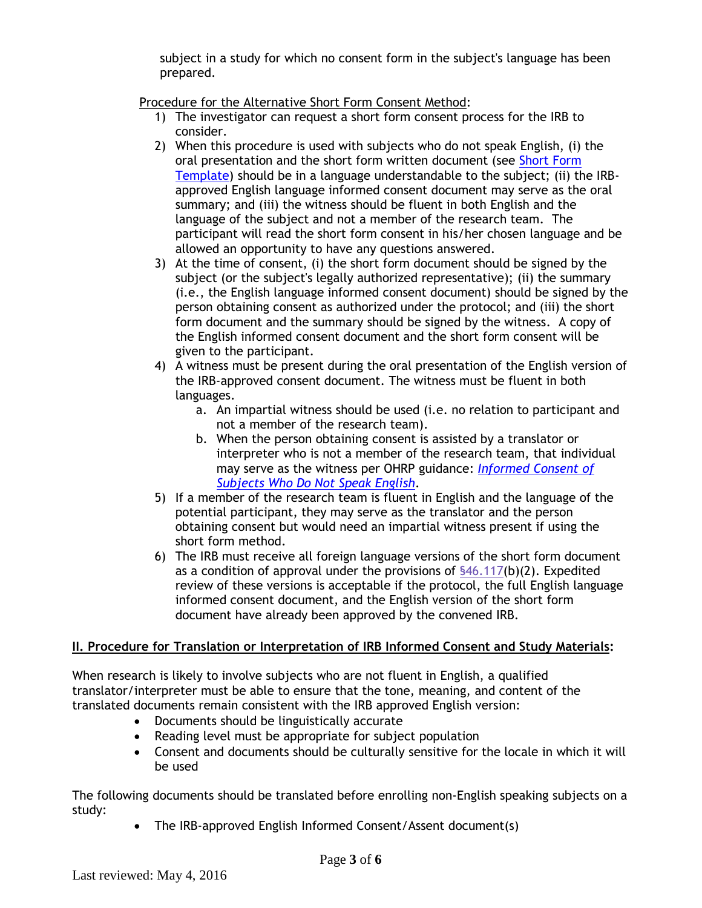subject in a study for which no consent form in the subject's language has been prepared.

Procedure for the Alternative Short Form Consent Method:

- 1) The investigator can request a short form consent process for the IRB to consider.
- 2) When this procedure is used with subjects who do not speak English, (i) the oral presentation and the short form written document (see [Short Form](https://grants.uwosh.edu/sample-page/research-compliance/institutional-review-board-irb/irb-forms/) [Template\)](https://grants.uwosh.edu/sample-page/research-compliance/institutional-review-board-irb/irb-forms/) should be in a language understandable to the subject; (ii) the IRBapproved English language informed consent document may serve as the oral summary; and (iii) the witness should be fluent in both English and the language of the subject and not a member of the research team. The participant will read the short form consent in his/her chosen language and be allowed an opportunity to have any questions answered.
- 3) At the time of consent, (i) the short form document should be signed by the subject (or the subject's legally authorized representative); (ii) the summary (i.e., the English language informed consent document) should be signed by the person obtaining consent as authorized under the protocol; and (iii) the short form document and the summary should be signed by the witness. A copy of the English informed consent document and the short form consent will be given to the participant.
- 4) A witness must be present during the oral presentation of the English version of the IRB-approved consent document. The witness must be fluent in both languages.
	- a. An impartial witness should be used (i.e. no relation to participant and not a member of the research team).
	- b. When the person obtaining consent is assisted by a translator or interpreter who is not a member of the research team, that individual may serve as the witness per OHRP guidance: *[Informed Consent of](http://www.hhs.gov/ohrp/policy/ic-non-e.html) [Subjects Who Do Not Speak English](http://www.hhs.gov/ohrp/policy/ic-non-e.html)*.
- 5) If a member of the research team is fluent in English and the language of the potential participant, they may serve as the translator and the person obtaining consent but would need an impartial witness present if using the short form method.
- 6) The IRB must receive all foreign language versions of the short form document as a condition of approval under the provisions of [§46.117\(](http://www.hhs.gov/ohrp/regulations-and-policy/regulations/45-cfr-46/index.html)b)(2). Expedited review of these versions is acceptable if the protocol, the full English language informed consent document, and the English version of the short form document have already been approved by the convened IRB.

# **II. Procedure for Translation or Interpretation of IRB Informed Consent and Study Materials:**

When research is likely to involve subjects who are not fluent in English, a qualified translator/interpreter must be able to ensure that the tone, meaning, and content of the translated documents remain consistent with the IRB approved English version:

- Documents should be linguistically accurate
- Reading level must be appropriate for subject population
- Consent and documents should be culturally sensitive for the locale in which it will be used

The following documents should be translated before enrolling non-English speaking subjects on a study:

• The IRB-approved English Informed Consent/Assent document(s)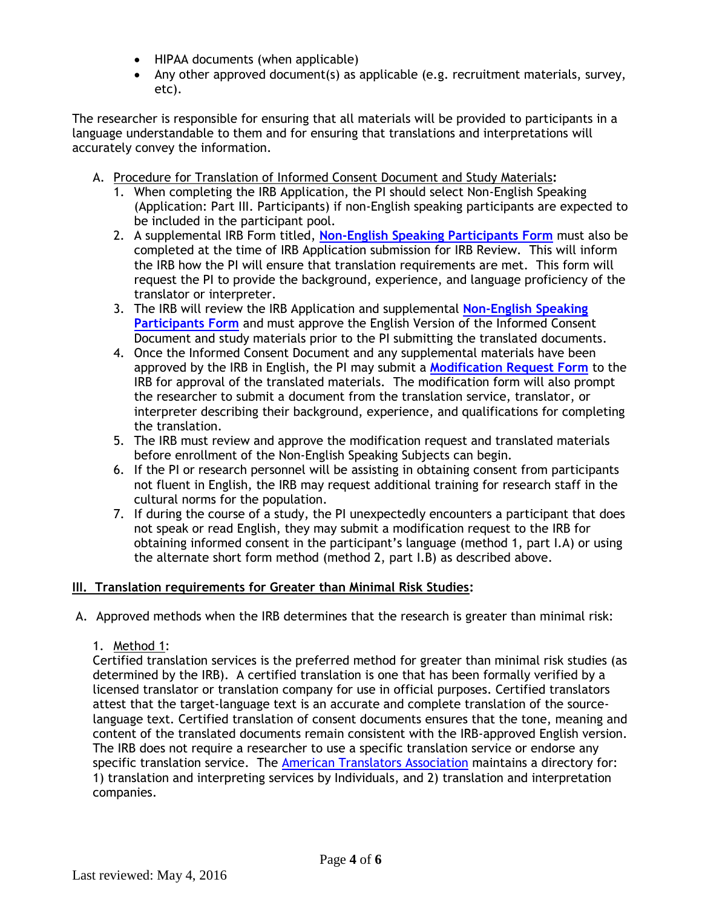- HIPAA documents (when applicable)
- Any other approved document(s) as applicable (e.g. recruitment materials, survey, etc).

The researcher is responsible for ensuring that all materials will be provided to participants in a language understandable to them and for ensuring that translations and interpretations will accurately convey the information.

- A. Procedure for Translation of Informed Consent Document and Study Materials**:**
	- 1. When completing the IRB Application, the PI should select Non-English Speaking (Application: Part III. Participants) if non-English speaking participants are expected to be included in the participant pool.
	- 2. A supplemental IRB Form titled, **[Non-English Speaking Participants Form](https://uwosh.edu/sponsoredprograms/wp-content/uploads/sites/29/2017/12/IRB-Supplement-Non-English-Speaking-Participants-Form-5-31-2018.doc)** must also be completed at the time of IRB Application submission for IRB Review. This will inform the IRB how the PI will ensure that translation requirements are met. This form will request the PI to provide the background, experience, and language proficiency of the translator or interpreter.
	- 3. The IRB will review the IRB Application and supplemental **[Non-English Speaking](http://www.uwosh.edu/grants/forms) [Participants Form](http://www.uwosh.edu/grants/forms)** and must approve the English Version of the Informed Consent Document and study materials prior to the PI submitting the translated documents.
	- 4. Once the Informed Consent Document and any supplemental materials have been approved by the IRB in English, the PI may submit a **[Modification Request Form](http://www.uwosh.edu/grants/forms)** to the IRB for approval of the translated materials. The modification form will also prompt the researcher to submit a document from the translation service, translator, or interpreter describing their background, experience, and qualifications for completing the translation.
	- 5. The IRB must review and approve the modification request and translated materials before enrollment of the Non-English Speaking Subjects can begin.
	- 6. If the PI or research personnel will be assisting in obtaining consent from participants not fluent in English, the IRB may request additional training for research staff in the cultural norms for the population.
	- 7. If during the course of a study, the PI unexpectedly encounters a participant that does not speak or read English, they may submit a modification request to the IRB for obtaining informed consent in the participant's language (method 1, part I.A) or using the alternate short form method (method 2, part I.B) as described above.

### **III. Translation requirements for Greater than Minimal Risk Studies:**

- A. Approved methods when the IRB determines that the research is greater than minimal risk:
	- 1. Method 1:

Certified translation services is the preferred method for greater than minimal risk studies (as determined by the IRB). A certified translation is one that has been formally verified by a licensed translator or translation company for use in official purposes. Certified translators attest that the target-language text is an accurate and complete translation of the sourcelanguage text. Certified translation of consent documents ensures that the tone, meaning and content of the translated documents remain consistent with the IRB-approved English version. The IRB does not require a researcher to use a specific translation service or endorse any specific translation service. The [American Translators Association](http://www.atanet.org/certification/) maintains a directory for: 1) translation and interpreting services by Individuals, and 2) translation and interpretation companies.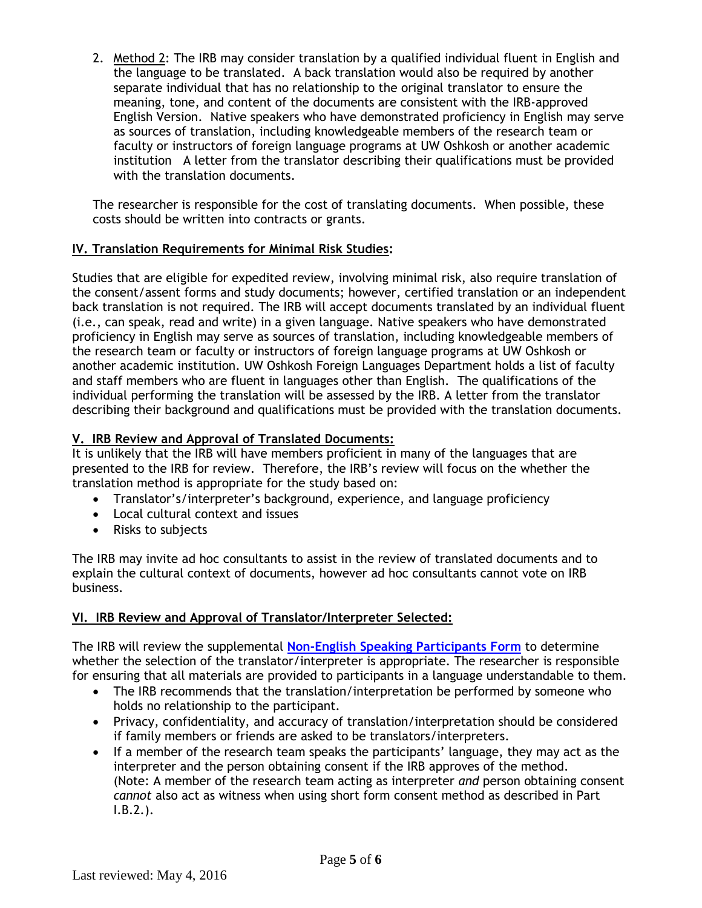2. Method 2: The IRB may consider translation by a qualified individual fluent in English and the language to be translated. A back translation would also be required by another separate individual that has no relationship to the original translator to ensure the meaning, tone, and content of the documents are consistent with the IRB-approved English Version. Native speakers who have demonstrated proficiency in English may serve as sources of translation, including knowledgeable members of the research team or faculty or instructors of foreign language programs at UW Oshkosh or another academic institution A letter from the translator describing their qualifications must be provided with the translation documents.

The researcher is responsible for the cost of translating documents. When possible, these costs should be written into contracts or grants.

## **IV. Translation Requirements for Minimal Risk Studies:**

Studies that are eligible for expedited review, involving minimal risk, also require translation of the consent/assent forms and study documents; however, certified translation or an independent back translation is not required. The IRB will accept documents translated by an individual fluent (i.e., can speak, read and write) in a given language. Native speakers who have demonstrated proficiency in English may serve as sources of translation, including knowledgeable members of the research team or faculty or instructors of foreign language programs at UW Oshkosh or another academic institution. UW Oshkosh Foreign Languages Department holds a list of faculty and staff members who are fluent in languages other than English. The qualifications of the individual performing the translation will be assessed by the IRB. A letter from the translator describing their background and qualifications must be provided with the translation documents.

## **V. IRB Review and Approval of Translated Documents:**

It is unlikely that the IRB will have members proficient in many of the languages that are presented to the IRB for review. Therefore, the IRB's review will focus on the whether the translation method is appropriate for the study based on:

- Translator's/interpreter's background, experience, and language proficiency
- Local cultural context and issues
- Risks to subjects

The IRB may invite ad hoc consultants to assist in the review of translated documents and to explain the cultural context of documents, however ad hoc consultants cannot vote on IRB business.

### **VI. IRB Review and Approval of Translator/Interpreter Selected:**

The IRB will review the supplemental **[Non-English Speaking Participants](http://www.uwosh.edu/grants/forms) Form** to determine whether the selection of the translator/interpreter is appropriate. The researcher is responsible for ensuring that all materials are provided to participants in a language understandable to them.

- The IRB recommends that the translation/interpretation be performed by someone who holds no relationship to the participant.
- Privacy, confidentiality, and accuracy of translation/interpretation should be considered if family members or friends are asked to be translators/interpreters.
- If a member of the research team speaks the participants' language, they may act as the interpreter and the person obtaining consent if the IRB approves of the method. (Note: A member of the research team acting as interpreter *and* person obtaining consent *cannot* also act as witness when using short form consent method as described in Part I.B.2.).